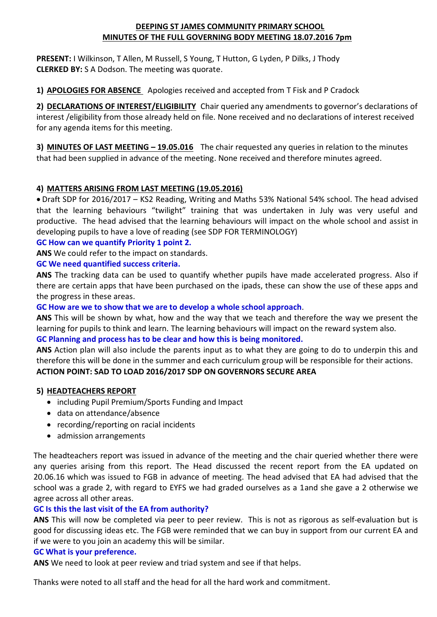### **DEEPING ST JAMES COMMUNITY PRIMARY SCHOOL MINUTES OF THE FULL GOVERNING BODY MEETING 18.07.2016 7pm**

**PRESENT:** I Wilkinson, T Allen, M Russell, S Young, T Hutton, G Lyden, P Dilks, J Thody **CLERKED BY:** S A Dodson. The meeting was quorate.

**1) APOLOGIES FOR ABSENCE** Apologies received and accepted from T Fisk and P Cradock

**2) DECLARATIONS OF INTEREST/ELIGIBILITY** Chair queried any amendments to governor's declarations of interest /eligibility from those already held on file. None received and no declarations of interest received for any agenda items for this meeting.

**3) MINUTES OF LAST MEETING – 19.05.016** The chair requested any queries in relation to the minutes that had been supplied in advance of the meeting. None received and therefore minutes agreed.

# **4) MATTERS ARISING FROM LAST MEETING (19.05.2016)**

• Draft SDP for 2016/2017 – KS2 Reading, Writing and Maths 53% National 54% school. The head advised that the learning behaviours "twilight" training that was undertaken in July was very useful and productive. The head advised that the learning behaviours will impact on the whole school and assist in developing pupils to have a love of reading (see SDP FOR TERMINOLOGY)

### **GC How can we quantify Priority 1 point 2.**

**ANS** We could refer to the impact on standards.

### **GC We need quantified success criteria.**

**ANS** The tracking data can be used to quantify whether pupils have made accelerated progress. Also if there are certain apps that have been purchased on the ipads, these can show the use of these apps and the progress in these areas.

### **GC How are we to show that we are to develop a whole school approach**.

**ANS** This will be shown by what, how and the way that we teach and therefore the way we present the learning for pupils to think and learn. The learning behaviours will impact on the reward system also.

### **GC Planning and process has to be clear and how this is being monitored.**

**ANS** Action plan will also include the parents input as to what they are going to do to underpin this and therefore this will be done in the summer and each curriculum group will be responsible for their actions. **ACTION POINT: SAD TO LOAD 2016/2017 SDP ON GOVERNORS SECURE AREA**

### **5) HEADTEACHERS REPORT**

- including Pupil Premium/Sports Funding and Impact
- data on attendance/absence
- recording/reporting on racial incidents
- admission arrangements

The headteachers report was issued in advance of the meeting and the chair queried whether there were any queries arising from this report. The Head discussed the recent report from the EA updated on 20.06.16 which was issued to FGB in advance of meeting. The head advised that EA had advised that the school was a grade 2, with regard to EYFS we had graded ourselves as a 1and she gave a 2 otherwise we agree across all other areas.

### **GC Is this the last visit of the EA from authority?**

**ANS** This will now be completed via peer to peer review. This is not as rigorous as self-evaluation but is good for discussing ideas etc. The FGB were reminded that we can buy in support from our current EA and if we were to you join an academy this will be similar.

### **GC What is your preference.**

**ANS** We need to look at peer review and triad system and see if that helps.

Thanks were noted to all staff and the head for all the hard work and commitment.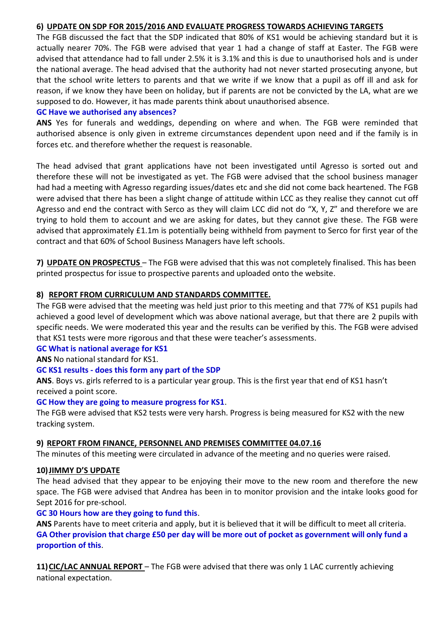### **6) UPDATE ON SDP FOR 2015/2016 AND EVALUATE PROGRESS TOWARDS ACHIEVING TARGETS**

The FGB discussed the fact that the SDP indicated that 80% of KS1 would be achieving standard but it is actually nearer 70%. The FGB were advised that year 1 had a change of staff at Easter. The FGB were advised that attendance had to fall under 2.5% it is 3.1% and this is due to unauthorised hols and is under the national average. The head advised that the authority had not never started prosecuting anyone, but that the school write letters to parents and that we write if we know that a pupil as off ill and ask for reason, if we know they have been on holiday, but if parents are not be convicted by the LA, what are we supposed to do. However, it has made parents think about unauthorised absence.

### **GC Have we authorised any absences?**

**ANS** Yes for funerals and weddings, depending on where and when. The FGB were reminded that authorised absence is only given in extreme circumstances dependent upon need and if the family is in forces etc. and therefore whether the request is reasonable.

The head advised that grant applications have not been investigated until Agresso is sorted out and therefore these will not be investigated as yet. The FGB were advised that the school business manager had had a meeting with Agresso regarding issues/dates etc and she did not come back heartened. The FGB were advised that there has been a slight change of attitude within LCC as they realise they cannot cut off Agresso and end the contract with Serco as they will claim LCC did not do "X, Y, Z" and therefore we are trying to hold them to account and we are asking for dates, but they cannot give these. The FGB were advised that approximately £1.1m is potentially being withheld from payment to Serco for first year of the contract and that 60% of School Business Managers have left schools.

**7) UPDATE ON PROSPECTUS** – The FGB were advised that this was not completely finalised. This has been printed prospectus for issue to prospective parents and uploaded onto the website.

### **8) REPORT FROM CURRICULUM AND STANDARDS COMMITTEE.**

The FGB were advised that the meeting was held just prior to this meeting and that 77% of KS1 pupils had achieved a good level of development which was above national average, but that there are 2 pupils with specific needs. We were moderated this year and the results can be verified by this. The FGB were advised that KS1 tests were more rigorous and that these were teacher's assessments.

### **GC What is national average for KS1**

**ANS** No national standard for KS1.

### **GC KS1 results - does this form any part of the SDP**

**ANS**. Boys vs. girls referred to is a particular year group. This is the first year that end of KS1 hasn't received a point score.

### **GC How they are going to measure progress for KS1**.

The FGB were advised that KS2 tests were very harsh. Progress is being measured for KS2 with the new tracking system.

### **9) REPORT FROM FINANCE, PERSONNEL AND PREMISES COMMITTEE 04.07.16**

The minutes of this meeting were circulated in advance of the meeting and no queries were raised.

### **10)JIMMY D'S UPDATE**

The head advised that they appear to be enjoying their move to the new room and therefore the new space. The FGB were advised that Andrea has been in to monitor provision and the intake looks good for Sept 2016 for pre-school.

### **GC 30 Hours how are they going to fund this**.

**ANS** Parents have to meet criteria and apply, but it is believed that it will be difficult to meet all criteria. **GA Other provision that charge £50 per day will be more out of pocket as government will only fund a proportion of this**.

**11)CIC/LAC ANNUAL REPORT** – The FGB were advised that there was only 1 LAC currently achieving national expectation.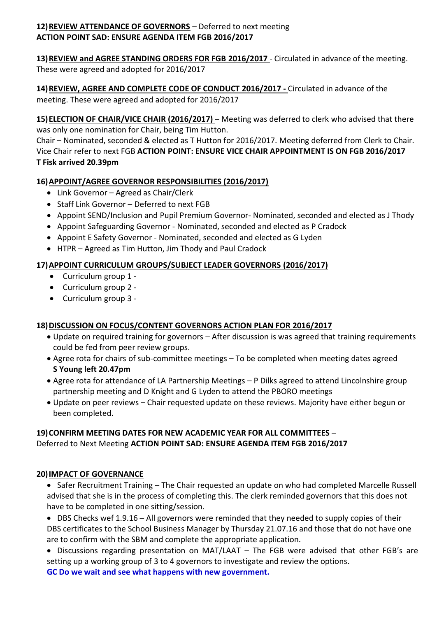# **12)REVIEW ATTENDANCE OF GOVERNORS** – Deferred to next meeting **ACTION POINT SAD: ENSURE AGENDA ITEM FGB 2016/2017**

**13)REVIEW and AGREE STANDING ORDERS FOR FGB 2016/2017** - Circulated in advance of the meeting. These were agreed and adopted for 2016/2017

**14)REVIEW, AGREE AND COMPLETE CODE OF CONDUCT 2016/2017 -** Circulated in advance of the meeting. These were agreed and adopted for 2016/2017

**15)ELECTION OF CHAIR/VICE CHAIR (2016/2017)** – Meeting was deferred to clerk who advised that there was only one nomination for Chair, being Tim Hutton.

Chair – Nominated, seconded & elected as T Hutton for 2016/2017. Meeting deferred from Clerk to Chair. Vice Chair refer to next FGB **ACTION POINT: ENSURE VICE CHAIR APPOINTMENT IS ON FGB 2016/2017 T Fisk arrived 20.39pm**

# **16)APPOINT/AGREE GOVERNOR RESPONSIBILITIES (2016/2017)**

- Link Governor Agreed as Chair/Clerk
- Staff Link Governor Deferred to next FGB
- Appoint SEND/Inclusion and Pupil Premium Governor- Nominated, seconded and elected as J Thody
- Appoint Safeguarding Governor Nominated, seconded and elected as P Cradock
- Appoint E Safety Governor Nominated, seconded and elected as G Lyden
- HTPR Agreed as Tim Hutton, Jim Thody and Paul Cradock

# **17)APPOINT CURRICULUM GROUPS/SUBJECT LEADER GOVERNORS (2016/2017)**

- Curriculum group 1 -
- Curriculum group 2 -
- Curriculum group 3 -

# **18)DISCUSSION ON FOCUS/CONTENT GOVERNORS ACTION PLAN FOR 2016/2017**

- Update on required training for governors After discussion is was agreed that training requirements could be fed from peer review groups.
- Agree rota for chairs of sub-committee meetings To be completed when meeting dates agreed **S Young left 20.47pm**
- Agree rota for attendance of LA Partnership Meetings P Dilks agreed to attend Lincolnshire group partnership meeting and D Knight and G Lyden to attend the PBORO meetings
- Update on peer reviews Chair requested update on these reviews. Majority have either begun or been completed.

# **19)CONFIRM MEETING DATES FOR NEW ACADEMIC YEAR FOR ALL COMMITTEES** –

Deferred to Next Meeting **ACTION POINT SAD: ENSURE AGENDA ITEM FGB 2016/2017**

# **20)IMPACT OF GOVERNANCE**

• Safer Recruitment Training – The Chair requested an update on who had completed Marcelle Russell advised that she is in the process of completing this. The clerk reminded governors that this does not have to be completed in one sitting/session.

• DBS Checks wef 1.9.16 – All governors were reminded that they needed to supply copies of their DBS certificates to the School Business Manager by Thursday 21.07.16 and those that do not have one are to confirm with the SBM and complete the appropriate application.

• Discussions regarding presentation on MAT/LAAT – The FGB were advised that other FGB's are setting up a working group of 3 to 4 governors to investigate and review the options. **GC Do we wait and see what happens with new government.**